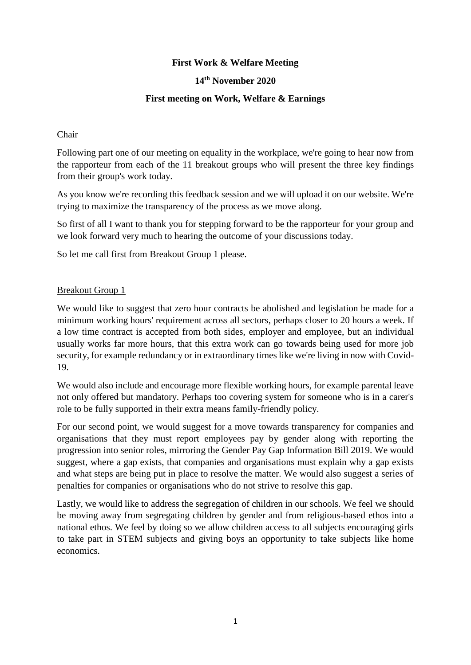# **First Work & Welfare Meeting**

### **14th November 2020**

### **First meeting on Work, Welfare & Earnings**

#### Chair

Following part one of our meeting on equality in the workplace, we're going to hear now from the rapporteur from each of the 11 breakout groups who will present the three key findings from their group's work today.

As you know we're recording this feedback session and we will upload it on our website. We're trying to maximize the transparency of the process as we move along.

So first of all I want to thank you for stepping forward to be the rapporteur for your group and we look forward very much to hearing the outcome of your discussions today.

So let me call first from Breakout Group 1 please.

### Breakout Group 1

We would like to suggest that zero hour contracts be abolished and legislation be made for a minimum working hours' requirement across all sectors, perhaps closer to 20 hours a week. If a low time contract is accepted from both sides, employer and employee, but an individual usually works far more hours, that this extra work can go towards being used for more job security, for example redundancy or in extraordinary times like we're living in now with Covid-19.

We would also include and encourage more flexible working hours, for example parental leave not only offered but mandatory. Perhaps too covering system for someone who is in a carer's role to be fully supported in their extra means family-friendly policy.

For our second point, we would suggest for a move towards transparency for companies and organisations that they must report employees pay by gender along with reporting the progression into senior roles, mirroring the Gender Pay Gap Information Bill 2019. We would suggest, where a gap exists, that companies and organisations must explain why a gap exists and what steps are being put in place to resolve the matter. We would also suggest a series of penalties for companies or organisations who do not strive to resolve this gap.

Lastly, we would like to address the segregation of children in our schools. We feel we should be moving away from segregating children by gender and from religious-based ethos into a national ethos. We feel by doing so we allow children access to all subjects encouraging girls to take part in STEM subjects and giving boys an opportunity to take subjects like home economics.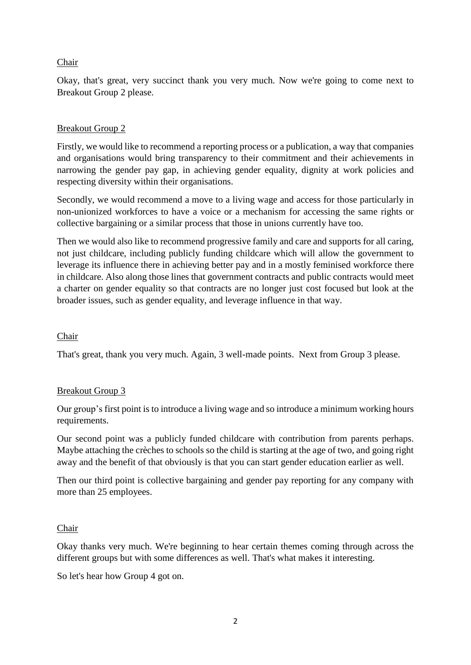### Chair

Okay, that's great, very succinct thank you very much. Now we're going to come next to Breakout Group 2 please.

### Breakout Group 2

Firstly, we would like to recommend a reporting process or a publication, a way that companies and organisations would bring transparency to their commitment and their achievements in narrowing the gender pay gap, in achieving gender equality, dignity at work policies and respecting diversity within their organisations.

Secondly, we would recommend a move to a living wage and access for those particularly in non-unionized workforces to have a voice or a mechanism for accessing the same rights or collective bargaining or a similar process that those in unions currently have too.

Then we would also like to recommend progressive family and care and supports for all caring, not just childcare, including publicly funding childcare which will allow the government to leverage its influence there in achieving better pay and in a mostly feminised workforce there in childcare. Also along those lines that government contracts and public contracts would meet a charter on gender equality so that contracts are no longer just cost focused but look at the broader issues, such as gender equality, and leverage influence in that way.

#### Chair

That's great, thank you very much. Again, 3 well-made points. Next from Group 3 please.

#### Breakout Group 3

Our group's first point is to introduce a living wage and so introduce a minimum working hours requirements.

Our second point was a publicly funded childcare with contribution from parents perhaps. Maybe attaching the crèches to schools so the child is starting at the age of two, and going right away and the benefit of that obviously is that you can start gender education earlier as well.

Then our third point is collective bargaining and gender pay reporting for any company with more than 25 employees.

#### Chair

Okay thanks very much. We're beginning to hear certain themes coming through across the different groups but with some differences as well. That's what makes it interesting.

So let's hear how Group 4 got on.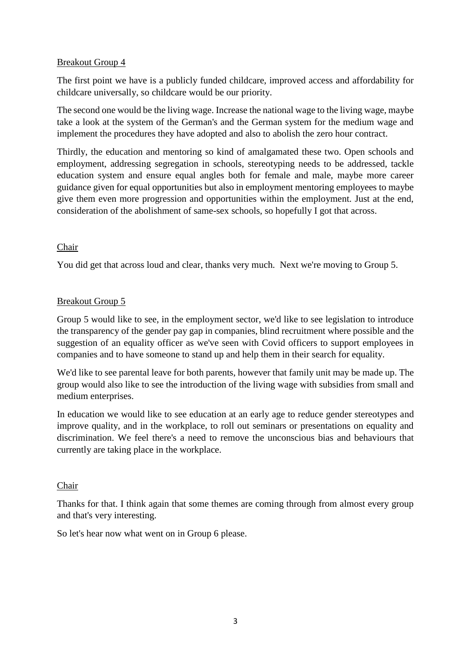# Breakout Group 4

The first point we have is a publicly funded childcare, improved access and affordability for childcare universally, so childcare would be our priority.

The second one would be the living wage. Increase the national wage to the living wage, maybe take a look at the system of the German's and the German system for the medium wage and implement the procedures they have adopted and also to abolish the zero hour contract.

Thirdly, the education and mentoring so kind of amalgamated these two. Open schools and employment, addressing segregation in schools, stereotyping needs to be addressed, tackle education system and ensure equal angles both for female and male, maybe more career guidance given for equal opportunities but also in employment mentoring employees to maybe give them even more progression and opportunities within the employment. Just at the end, consideration of the abolishment of same-sex schools, so hopefully I got that across.

# Chair

You did get that across loud and clear, thanks very much. Next we're moving to Group 5.

# Breakout Group 5

Group 5 would like to see, in the employment sector, we'd like to see legislation to introduce the transparency of the gender pay gap in companies, blind recruitment where possible and the suggestion of an equality officer as we've seen with Covid officers to support employees in companies and to have someone to stand up and help them in their search for equality.

We'd like to see parental leave for both parents, however that family unit may be made up. The group would also like to see the introduction of the living wage with subsidies from small and medium enterprises.

In education we would like to see education at an early age to reduce gender stereotypes and improve quality, and in the workplace, to roll out seminars or presentations on equality and discrimination. We feel there's a need to remove the unconscious bias and behaviours that currently are taking place in the workplace.

# Chair

Thanks for that. I think again that some themes are coming through from almost every group and that's very interesting.

So let's hear now what went on in Group 6 please.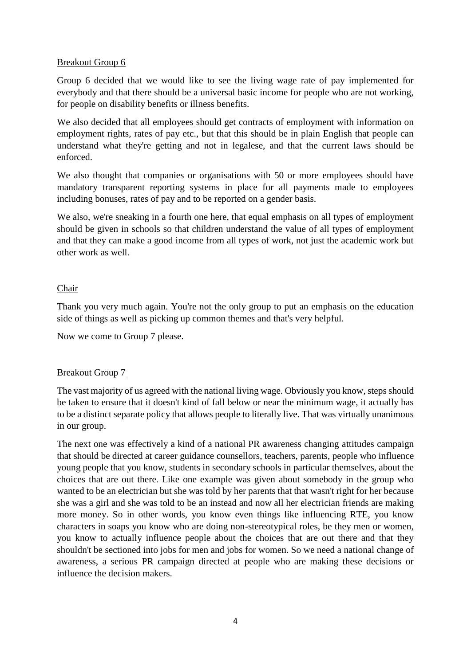### Breakout Group 6

Group 6 decided that we would like to see the living wage rate of pay implemented for everybody and that there should be a universal basic income for people who are not working, for people on disability benefits or illness benefits.

We also decided that all employees should get contracts of employment with information on employment rights, rates of pay etc., but that this should be in plain English that people can understand what they're getting and not in legalese, and that the current laws should be enforced.

We also thought that companies or organisations with 50 or more employees should have mandatory transparent reporting systems in place for all payments made to employees including bonuses, rates of pay and to be reported on a gender basis.

We also, we're sneaking in a fourth one here, that equal emphasis on all types of employment should be given in schools so that children understand the value of all types of employment and that they can make a good income from all types of work, not just the academic work but other work as well.

### Chair

Thank you very much again. You're not the only group to put an emphasis on the education side of things as well as picking up common themes and that's very helpful.

Now we come to Group 7 please.

# Breakout Group 7

The vast majority of us agreed with the national living wage. Obviously you know, steps should be taken to ensure that it doesn't kind of fall below or near the minimum wage, it actually has to be a distinct separate policy that allows people to literally live. That was virtually unanimous in our group.

The next one was effectively a kind of a national PR awareness changing attitudes campaign that should be directed at career guidance counsellors, teachers, parents, people who influence young people that you know, students in secondary schools in particular themselves, about the choices that are out there. Like one example was given about somebody in the group who wanted to be an electrician but she was told by her parents that that wasn't right for her because she was a girl and she was told to be an instead and now all her electrician friends are making more money. So in other words, you know even things like influencing RTE, you know characters in soaps you know who are doing non-stereotypical roles, be they men or women, you know to actually influence people about the choices that are out there and that they shouldn't be sectioned into jobs for men and jobs for women. So we need a national change of awareness, a serious PR campaign directed at people who are making these decisions or influence the decision makers.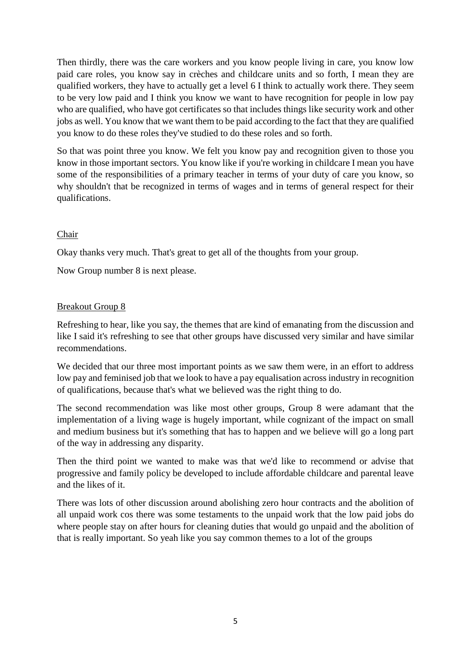Then thirdly, there was the care workers and you know people living in care, you know low paid care roles, you know say in crèches and childcare units and so forth, I mean they are qualified workers, they have to actually get a level 6 I think to actually work there. They seem to be very low paid and I think you know we want to have recognition for people in low pay who are qualified, who have got certificates so that includes things like security work and other jobs as well. You know that we want them to be paid according to the fact that they are qualified you know to do these roles they've studied to do these roles and so forth.

So that was point three you know. We felt you know pay and recognition given to those you know in those important sectors. You know like if you're working in childcare I mean you have some of the responsibilities of a primary teacher in terms of your duty of care you know, so why shouldn't that be recognized in terms of wages and in terms of general respect for their qualifications.

# Chair

Okay thanks very much. That's great to get all of the thoughts from your group.

Now Group number 8 is next please.

# Breakout Group 8

Refreshing to hear, like you say, the themes that are kind of emanating from the discussion and like I said it's refreshing to see that other groups have discussed very similar and have similar recommendations.

We decided that our three most important points as we saw them were, in an effort to address low pay and feminised job that we look to have a pay equalisation across industry in recognition of qualifications, because that's what we believed was the right thing to do.

The second recommendation was like most other groups, Group 8 were adamant that the implementation of a living wage is hugely important, while cognizant of the impact on small and medium business but it's something that has to happen and we believe will go a long part of the way in addressing any disparity.

Then the third point we wanted to make was that we'd like to recommend or advise that progressive and family policy be developed to include affordable childcare and parental leave and the likes of it.

There was lots of other discussion around abolishing zero hour contracts and the abolition of all unpaid work cos there was some testaments to the unpaid work that the low paid jobs do where people stay on after hours for cleaning duties that would go unpaid and the abolition of that is really important. So yeah like you say common themes to a lot of the groups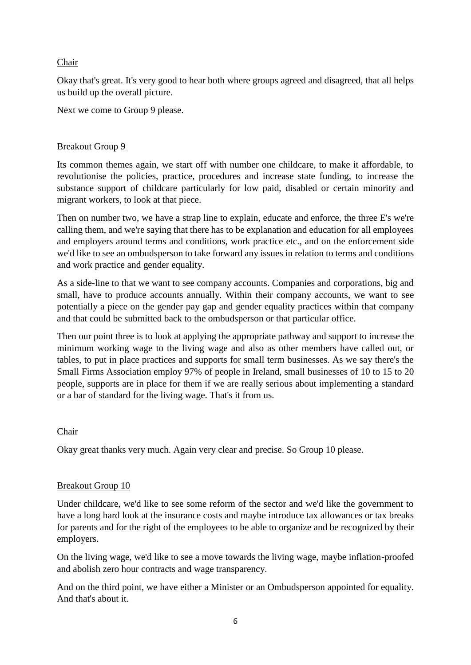## Chair

Okay that's great. It's very good to hear both where groups agreed and disagreed, that all helps us build up the overall picture.

Next we come to Group 9 please.

### Breakout Group 9

Its common themes again, we start off with number one childcare, to make it affordable, to revolutionise the policies, practice, procedures and increase state funding, to increase the substance support of childcare particularly for low paid, disabled or certain minority and migrant workers, to look at that piece.

Then on number two, we have a strap line to explain, educate and enforce, the three E's we're calling them, and we're saying that there has to be explanation and education for all employees and employers around terms and conditions, work practice etc., and on the enforcement side we'd like to see an ombudsperson to take forward any issues in relation to terms and conditions and work practice and gender equality.

As a side-line to that we want to see company accounts. Companies and corporations, big and small, have to produce accounts annually. Within their company accounts, we want to see potentially a piece on the gender pay gap and gender equality practices within that company and that could be submitted back to the ombudsperson or that particular office.

Then our point three is to look at applying the appropriate pathway and support to increase the minimum working wage to the living wage and also as other members have called out, or tables, to put in place practices and supports for small term businesses. As we say there's the Small Firms Association employ 97% of people in Ireland, small businesses of 10 to 15 to 20 people, supports are in place for them if we are really serious about implementing a standard or a bar of standard for the living wage. That's it from us.

#### Chair

Okay great thanks very much. Again very clear and precise. So Group 10 please.

#### Breakout Group 10

Under childcare, we'd like to see some reform of the sector and we'd like the government to have a long hard look at the insurance costs and maybe introduce tax allowances or tax breaks for parents and for the right of the employees to be able to organize and be recognized by their employers.

On the living wage, we'd like to see a move towards the living wage, maybe inflation-proofed and abolish zero hour contracts and wage transparency.

And on the third point, we have either a Minister or an Ombudsperson appointed for equality. And that's about it.